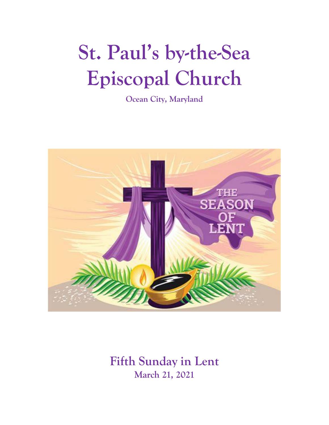# **St. Paul's by-the-Sea Episcopal Church**

**Ocean City, Maryland**



**Fifth Sunday in Lent March 21, 2021**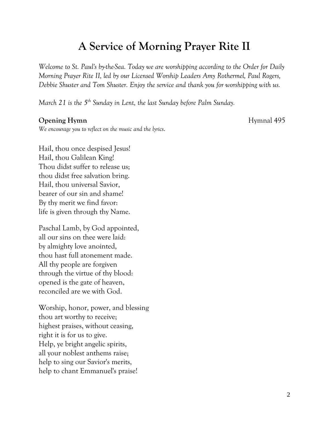### **A Service of Morning Prayer Rite II**

*Welcome to St. Paul's by-the-Sea. Today we are worshipping according to the Order for Daily Morning Prayer Rite II, led by our Licensed Worship Leaders Amy Rothermel, Paul Rogers, Debbie Shuster and Tom Shuster. Enjoy the service and thank you for worshipping with us.*

*March 21 is the 5th Sunday in Lent, the last Sunday before Palm Sunday.*

#### **Opening Hymn** Hymnal 495

*We encourage you to reflect on the music and the lyrics*.

Hail, thou once despised Jesus! Hail, thou Galilean King! Thou didst suffer to release us; thou didst free salvation bring. Hail, thou universal Savior, bearer of our sin and shame! By thy merit we find favor: life is given through thy Name.

Paschal Lamb, by God appointed, all our sins on thee were laid: by almighty love anointed, thou hast full atonement made. All thy people are forgiven through the virtue of thy blood: opened is the gate of heaven, reconciled are we with God.

Worship, honor, power, and blessing thou art worthy to receive; highest praises, without ceasing, right it is for us to give. Help, ye bright angelic spirits, all your noblest anthems raise; help to sing our Savior's merits, help to chant Emmanuel's praise!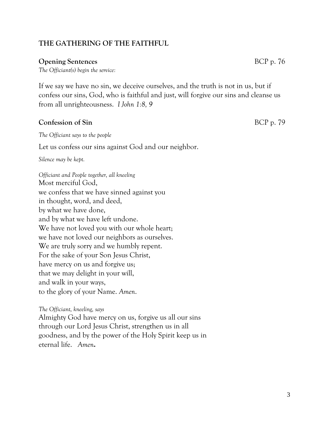#### **THE GATHERING OF THE FAITHFUL**

#### **Opening Sentences** BCP p. 76

*The Officiant(s) begin the service:*

If we say we have no sin, we deceive ourselves, and the truth is not in us, but if confess our sins, God, who is faithful and just, will forgive our sins and cleanse us from all unrighteousness. *I John 1:8, 9*

#### **Confession of Sin** BCP p. 79

*The Officiant says to the people*

Let us confess our sins against God and our neighbor.

*Silence may be kept.*

*Officiant and People together, all kneeling* Most merciful God, we confess that we have sinned against you in thought, word, and deed, by what we have done, and by what we have left undone. We have not loved you with our whole heart; we have not loved our neighbors as ourselves. We are truly sorry and we humbly repent. For the sake of your Son Jesus Christ, have mercy on us and forgive us; that we may delight in your will, and walk in your ways, to the glory of your Name. *Amen*.

*The Officiant, kneeling, says* Almighty God have mercy on us, forgive us all our sins through our Lord Jesus Christ, strengthen us in all goodness, and by the power of the Holy Spirit keep us in eternal life. *Amen***.**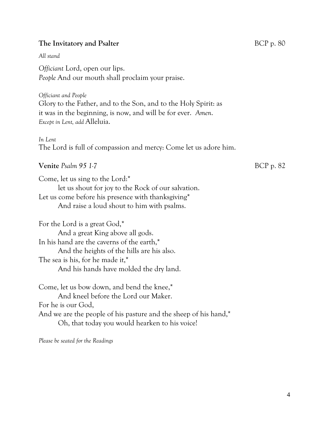#### **The Invitatory and Psalter** BCP p. 80

#### *All stand*

*Officiant* Lord, open our lips. *People* And our mouth shall proclaim your praise.

*Officiant and People* Glory to the Father, and to the Son, and to the Holy Spirit: as it was in the beginning, is now, and will be for ever. *Amen*. *Except in Lent, add* Alleluia.

*In Lent* The Lord is full of compassion and mercy: Come let us adore him.

#### **Venite** *Psalm* 95 1-7 BCP p. 82

Come, let us sing to the Lord:\* let us shout for joy to the Rock of our salvation. Let us come before his presence with thanksgiving\* And raise a loud shout to him with psalms.

For the Lord is a great God,\* And a great King above all gods. In his hand are the caverns of the earth,\* And the heights of the hills are his also. The sea is his, for he made it,\* And his hands have molded the dry land.

Come, let us bow down, and bend the knee,\* And kneel before the Lord our Maker. For he is our God, And we are the people of his pasture and the sheep of his hand,\* Oh, that today you would hearken to his voice!

*Please be seated for the Readings*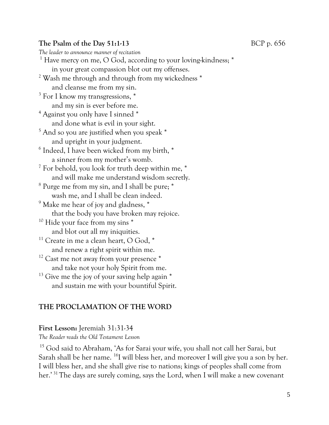#### **The Psalm of the Day 51:1-13** BCP p. 656

*The leader to announce manner of recitation* <sup>1</sup> Have mercy on me, O God, according to your loving-kindness; \* in your great compassion blot out my offenses. <sup>2</sup> Wash me through and through from my wickedness \* and cleanse me from my sin. <sup>3</sup> For I know my transgressions,  $*$ and my sin is ever before me. <sup>4</sup> Against you only have I sinned \* and done what is evil in your sight. <sup>5</sup> And so you are justified when you speak \* and upright in your judgment. 6 Indeed, I have been wicked from my birth, \* a sinner from my mother's womb.  $7$  For behold, you look for truth deep within me,  $*$ and will make me understand wisdom secretly. <sup>8</sup> Purge me from my sin, and I shall be pure; \* wash me, and I shall be clean indeed.  $9$  Make me hear of joy and gladness,  $*$ that the body you have broken may rejoice. <sup>10</sup> Hide your face from my sins \* and blot out all my iniquities.  $11$  Create in me a clean heart, O God,  $*$ and renew a right spirit within me.  $12$  Cast me not away from your presence  $*$ and take not your holy Spirit from me.  $13$  Give me the joy of your saving help again  $*$ and sustain me with your bountiful Spirit.

#### **THE PROCLAMATION OF THE WORD**

#### **First Lesson:** Jeremiah 31:31-34

*The Reader reads the Old Testament Lesson* 

<sup>15</sup> God said to Abraham, 'As for Sarai your wife, you shall not call her Sarai, but Sarah shall be her name. <sup>16</sup>I will bless her, and moreover I will give you a son by her. I will bless her, and she shall give rise to nations; kings of peoples shall come from her.'<sup>31</sup> The days are surely coming, says the Lord, when I will make a new covenant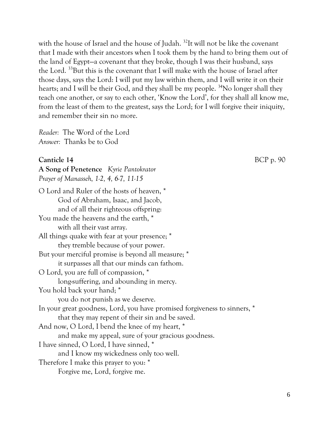with the house of Israel and the house of Judah.<sup>32</sup>It will not be like the covenant that I made with their ancestors when I took them by the hand to bring them out of the land of Egypt—a covenant that they broke, though I was their husband, says the Lord. <sup>33</sup>But this is the covenant that I will make with the house of Israel after those days, says the Lord: I will put my law within them, and I will write it on their hearts; and I will be their God, and they shall be my people. <sup>34</sup>No longer shall they teach one another, or say to each other, 'Know the Lord', for they shall all know me, from the least of them to the greatest, says the Lord; for I will forgive their iniquity, and remember their sin no more.

*Reader:* The Word of the Lord *Answer:* Thanks be to God

#### **Canticle 14** BCP p. 90

**A Song of Penetence** *Kyrie Pantokrator Prayer of Manasseh, 1-2, 4, 6-7, 11-15*

O Lord and Ruler of the hosts of heaven, \* God of Abraham, Isaac, and Jacob, and of all their righteous offspring: You made the heavens and the earth.<sup>\*</sup> with all their vast array. All things quake with fear at your presence; \* they tremble because of your power. But your merciful promise is beyond all measure; \* it surpasses all that our minds can fathom. O Lord, you are full of compassion, \* long-suffering, and abounding in mercy. You hold back your hand; \* you do not punish as we deserve. In your great goodness, Lord, you have promised forgiveness to sinners, \* that they may repent of their sin and be saved. And now, O Lord, I bend the knee of my heart, \* and make my appeal, sure of your gracious goodness. I have sinned, O Lord, I have sinned, \* and I know my wickedness only too well. Therefore I make this prayer to you: \* Forgive me, Lord, forgive me.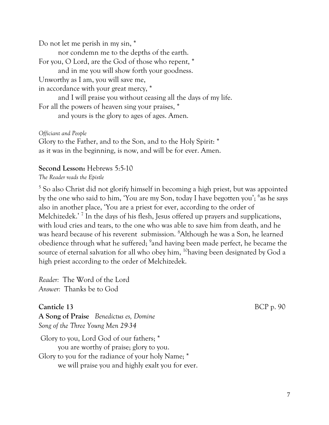Do not let me perish in my sin, \*

nor condemn me to the depths of the earth. For you, O Lord, are the God of those who repent, \* and in me you will show forth your goodness. Unworthy as I am, you will save me, in accordance with your great mercy, \* and I will praise you without ceasing all the days of my life. For all the powers of heaven sing your praises, \*

and yours is the glory to ages of ages. Amen.

*Officiant and People*

Glory to the Father, and to the Son, and to the Holy Spirit: \* as it was in the beginning, is now, and will be for ever. Amen.

#### **Second Lesson:** Hebrews 5:5-10

*The Reader reads the Epistle*

<sup>5</sup> So also Christ did not glorify himself in becoming a high priest, but was appointed by the one who said to him, 'You are my Son, today I have begotten you'; <sup>6</sup>as he says also in another place, 'You are a priest for ever, according to the order of Melchizedek.'<sup>7</sup> In the days of his flesh, Jesus offered up prayers and supplications, with loud cries and tears, to the one who was able to save him from death, and he was heard because of his reverent submission. <sup>8</sup>Although he was a Son, he learned obedience through what he suffered; <sup>9</sup>and having been made perfect, he became the source of eternal salvation for all who obey him, <sup>10</sup>having been designated by God a high priest according to the order of Melchizedek.

*Reader:* The Word of the Lord *Answer:* Thanks be to God

**Canticle 13** BCP p. 90 **A Song of Praise** *Benedictus es, Domine Song of the Three Young Men 29-34*

Glory to you, Lord God of our fathers; \* you are worthy of praise; glory to you. Glory to you for the radiance of your holy Name; \* we will praise you and highly exalt you for ever.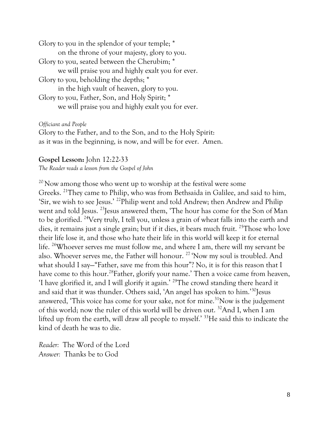Glory to you in the splendor of your temple; \* on the throne of your majesty, glory to you. Glory to you, seated between the Cherubim; \* we will praise you and highly exalt you for ever. Glory to you, beholding the depths; \* in the high vault of heaven, glory to you. Glory to you, Father, Son, and Holy Spirit; \* we will praise you and highly exalt you for ever.

*Officiant and People*

Glory to the Father, and to the Son, and to the Holy Spirit: as it was in the beginning, is now, and will be for ever. Amen.

#### **Gospel Lesson:** John 12:22-33

*The Reader reads a lesson from the Gospel of John*

<sup>20</sup> Now among those who went up to worship at the festival were some Greeks. <sup>21</sup>They came to Philip, who was from Bethsaida in Galilee, and said to him, 'Sir, we wish to see Jesus.' <sup>22</sup>Philip went and told Andrew; then Andrew and Philip went and told Jesus. <sup>23</sup>Jesus answered them, 'The hour has come for the Son of Man to be glorified. <sup>24</sup>Very truly, I tell you, unless a grain of wheat falls into the earth and dies, it remains just a single grain; but if it dies, it bears much fruit.<sup>25</sup>Those who love their life lose it, and those who hate their life in this world will keep it for eternal life. <sup>26</sup>Whoever serves me must follow me, and where I am, there will my servant be also. Whoever serves me, the Father will honour. <sup>27</sup> 'Now my soul is troubled. And what should I say—"Father, save me from this hour"? No, it is for this reason that I have come to this hour.<sup>28</sup>Father, glorify your name.' Then a voice came from heaven, 'I have glorified it, and I will glorify it again.' <sup>29</sup>The crowd standing there heard it and said that it was thunder. Others said, 'An angel has spoken to him.'<sup>30</sup>Jesus answered, 'This voice has come for your sake, not for mine.<sup>31</sup>Now is the judgement of this world; now the ruler of this world will be driven out. <sup>32</sup>And I, when I am lifted up from the earth, will draw all people to myself.' <sup>33</sup>He said this to indicate the kind of death he was to die.

*Reader:* The Word of the Lord *Answer:* Thanks be to God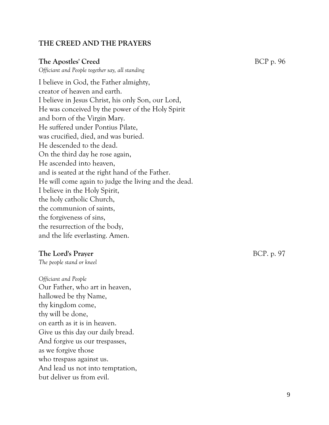#### **THE CREED AND THE PRAYERS**

#### **The Apostles' Creed** BCP p. 96

*Officiant and People together say, all standing* 

I believe in God, the Father almighty, creator of heaven and earth. I believe in Jesus Christ, his only Son, our Lord, He was conceived by the power of the Holy Spirit and born of the Virgin Mary. He suffered under Pontius Pilate, was crucified, died, and was buried. He descended to the dead. On the third day he rose again, He ascended into heaven, and is seated at the right hand of the Father. He will come again to judge the living and the dead. I believe in the Holy Spirit, the holy catholic Church, the communion of saints, the forgiveness of sins, the resurrection of the body, and the life everlasting. Amen.

#### **The Lord's Prayer** BCP. p. 97

*The people stand or kneel*

*Officiant and People*  Our Father, who art in heaven, hallowed be thy Name, thy kingdom come, thy will be done, on earth as it is in heaven. Give us this day our daily bread. And forgive us our trespasses, as we forgive those who trespass against us. And lead us not into temptation, but deliver us from evil.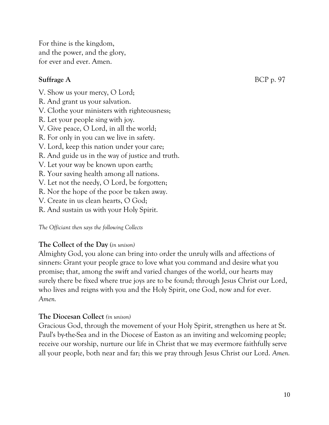For thine is the kingdom, and the power, and the glory, for ever and ever. Amen.

#### **Suffrage A** BCP p. 97

- V. Show us your mercy, O Lord;
- R. And grant us your salvation.
- V. Clothe your ministers with righteousness;
- R. Let your people sing with joy.
- V. Give peace, O Lord, in all the world;
- R. For only in you can we live in safety.
- V. Lord, keep this nation under your care;
- R. And guide us in the way of justice and truth.
- V. Let your way be known upon earth;
- R. Your saving health among all nations.
- V. Let not the needy, O Lord, be forgotten;
- R. Nor the hope of the poor be taken away.
- V. Create in us clean hearts, O God;
- R. And sustain us with your Holy Spirit.

*The Officiant then says the following Collects*

#### **The Collect of the Day** (*in unison)*

Almighty God, you alone can bring into order the unruly wills and affections of sinners: Grant your people grace to love what you command and desire what you promise; that, among the swift and varied changes of the world, our hearts may surely there be fixed where true joys are to be found; through Jesus Christ our Lord, who lives and reigns with you and the Holy Spirit, one God, now and for ever. *Amen.*

#### **The Diocesan Collect** *(in unison)*

Gracious God, through the movement of your Holy Spirit, strengthen us here at St. Paul's by-the-Sea and in the Diocese of Easton as an inviting and welcoming people; receive our worship, nurture our life in Christ that we may evermore faithfully serve all your people, both near and far; this we pray through Jesus Christ our Lord. *Amen.*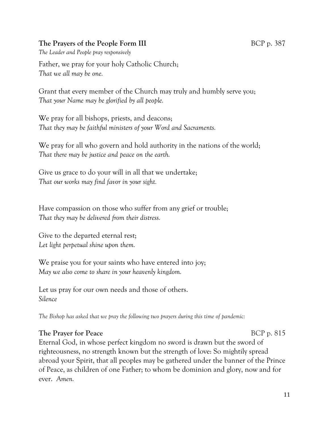#### **The Prayers of the People Form III** BCP p. 387

*The Leader and People pray responsively*

Father, we pray for your holy Catholic Church; *That we all may be one.*

Grant that every member of the Church may truly and humbly serve you; *That your Name may be glorified by all people.*

We pray for all bishops, priests, and deacons; *That they may be faithful ministers of your Word and Sacraments.*

We pray for all who govern and hold authority in the nations of the world; *That there may be justice and peace on the earth.*

Give us grace to do your will in all that we undertake; *That our works may find favor in your sight.*

Have compassion on those who suffer from any grief or trouble; *That they may be delivered from their distress.*

Give to the departed eternal rest; *Let light perpetual shine upon them.*

We praise you for your saints who have entered into joy; *May we also come to share in your heavenly kingdom.*

Let us pray for our own needs and those of others. *Silence*

*The Bishop has asked that we pray the following two prayers during this time of pandemic:*

#### **The Prayer for Peace** BCP p. 815

Eternal God, in whose perfect kingdom no sword is drawn but the sword of righteousness, no strength known but the strength of love: So mightily spread abroad your Spirit, that all peoples may be gathered under the banner of the Prince of Peace, as children of one Father; to whom be dominion and glory, now and for ever. *Amen.*

11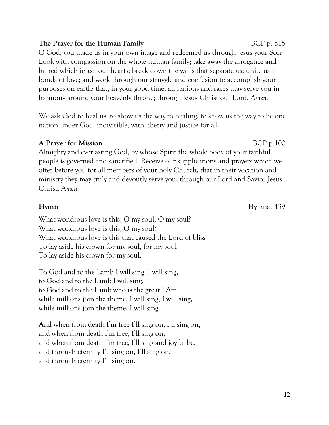#### **The Prayer for the Human Family** BCP p. 815

O God, you made us in your own image and redeemed us through Jesus your Son: Look with compassion on the whole human family; take away the arrogance and hatred which infect our hearts; break down the walls that separate us; unite us in bonds of love; and work through our struggle and confusion to accomplish your purposes on earth; that, in your good time, all nations and races may serve you in harmony around your heavenly throne; through Jesus Christ our Lord. *Amen.*

We ask God to heal us, to show us the way to healing, to show us the way to be one nation under God, indivisible, with liberty and justice for all.

#### **A Prayer for Mission** BCP p.100

Almighty and everlasting God, by whose Spirit the whole body of your faithful people is governed and sanctified: Receive our supplications and prayers which we offer before you for all members of your holy Church, that in their vocation and ministry they may truly and devoutly serve you; through our Lord and Savior Jesus Christ. *Amen.*

#### **Hymnal** 439

What wondrous love is this, O my soul, O my soul? What wondrous love is this, O my soul? What wondrous love is this that caused the Lord of bliss To lay aside his crown for my soul, for my soul To lay aside his crown for my soul.

To God and to the Lamb I will sing, I will sing, to God and to the Lamb I will sing, to God and to the Lamb who is the great I Am, while millions join the theme, I will sing, I will sing, while millions join the theme, I will sing.

And when from death I'm free I'll sing on, I'll sing on, and when from death I'm free, I'll sing on, and when from death I'm free, I'll sing and joyful be, and through eternity I'll sing on, I'll sing on, and through eternity I'll sing on.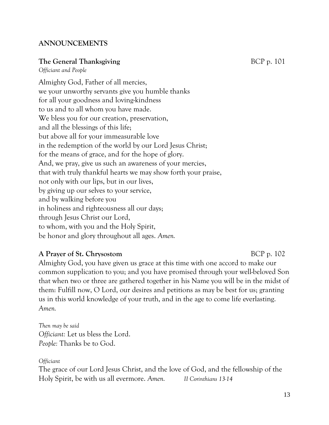#### **ANNOUNCEMENTS**

#### **The General Thanksgiving** BCP p. 101

*Officiant and People*

Almighty God, Father of all mercies, we your unworthy servants give you humble thanks for all your goodness and loving-kindness to us and to all whom you have made. We bless you for our creation, preservation, and all the blessings of this life; but above all for your immeasurable love in the redemption of the world by our Lord Jesus Christ; for the means of grace, and for the hope of glory. And, we pray, give us such an awareness of your mercies, that with truly thankful hearts we may show forth your praise, not only with our lips, but in our lives, by giving up our selves to your service, and by walking before you in holiness and righteousness all our days; through Jesus Christ our Lord, to whom, with you and the Holy Spirit, be honor and glory throughout all ages. *Amen.*

#### **A Prayer of St. Chrysostom** BCP p. 102

Almighty God, you have given us grace at this time with one accord to make our common supplication to you; and you have promised through your well-beloved Son that when two or three are gathered together in his Name you will be in the midst of them: Fulfill now, O Lord, our desires and petitions as may be best for us; granting us in this world knowledge of your truth, and in the age to come life everlasting. *Amen.*

*Then may be said Officiant:* Let us bless the Lord. *People:* Thanks be to God.

#### *Officiant*

The grace of our Lord Jesus Christ, and the love of God, and the fellowship of the Holy Spirit, be with us all evermore. *Amen. II Corinthians 13-14*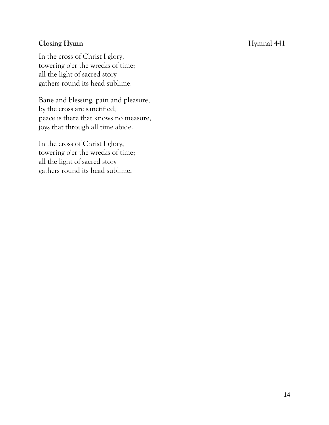#### **Closing Hymn** Hymnal 441

In the cross of Christ I glory, towering o'er the wrecks of time; all the light of sacred story gathers round its head sublime.

Bane and blessing, pain and pleasure, by the cross are sanctified; peace is there that knows no measure, joys that through all time abide.

In the cross of Christ I glory, towering o'er the wrecks of time; all the light of sacred story gathers round its head sublime.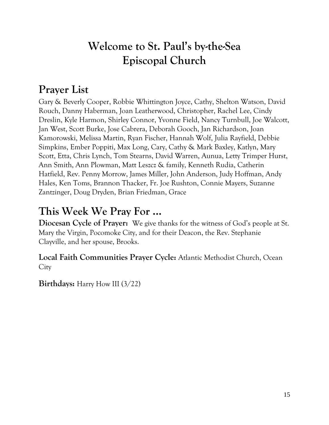### **Welcome to St. Paul's by-the-Sea Episcopal Church**

### **Prayer List**

Gary & Beverly Cooper, Robbie Whittington Joyce, Cathy, Shelton Watson, David Rouch, Danny Haberman, Joan Leatherwood, Christopher, Rachel Lee, Cindy Dreslin, Kyle Harmon, Shirley Connor, Yvonne Field, Nancy Turnbull, Joe Walcott, Jan West, Scott Burke, Jose Cabrera, Deborah Gooch, Jan Richardson, Joan Kamorowski, Melissa Martin, Ryan Fischer, Hannah Wolf, Julia Rayfield, Debbie Simpkins, Ember Poppiti, Max Long, Cary, Cathy & Mark Baxley, Katlyn, Mary Scott, Etta, Chris Lynch, Tom Stearns, David Warren, Aunua, Letty Trimper Hurst, Ann Smith, Ann Plowman, Matt Leszcz & family, Kenneth Rudia, Catherin Hatfield, Rev. Penny Morrow, James Miller, John Anderson, Judy Hoffman, Andy Hales, Ken Toms, Brannon Thacker, Fr. Joe Rushton, Connie Mayers, Suzanne Zantzinger, Doug Dryden, Brian Friedman, Grace

### **This Week We Pray For ...**

**Diocesan Cycle of Prayer:** We give thanks for the witness of God's people at St. Mary the Virgin, Pocomoke City, and for their Deacon, the Rev. Stephanie Clayville, and her spouse, Brooks.

**Local Faith Communities Prayer Cycle:** Atlantic Methodist Church, Ocean **City** 

**Birthdays:** Harry How III (3/22)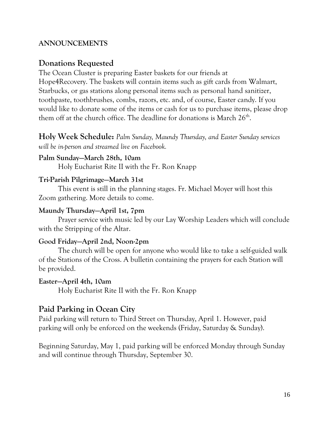#### **ANNOUNCEMENTS**

#### **Donations Requested**

The Ocean Cluster is preparing Easter baskets for our friends at Hope4Recovery. The baskets will contain items such as gift cards from Walmart, Starbucks, or gas stations along personal items such as personal hand sanitizer, toothpaste, toothbrushes, combs, razors, etc. and, of course, Easter candy. If you would like to donate some of the items or cash for us to purchase items, please drop them off at the church office. The deadline for donations is March  $26^\mathrm{th}$ .

**Holy Week Schedule:** *Palm Sunday, Maundy Thursday, and Easter Sunday services will be in-person and streamed live on Facebook.*

#### **Palm Sunday—March 28th, 10am**

Holy Eucharist Rite II with the Fr. Ron Knapp

#### **Tri-Parish Pilgrimage—March 31st**

This event is still in the planning stages. Fr. Michael Moyer will host this Zoom gathering. More details to come.

#### **Maundy Thursday—April 1st, 7pm**

Prayer service with music led by our Lay Worship Leaders which will conclude with the Stripping of the Altar.

#### **Good Friday—April 2nd, Noon-2pm**

The church will be open for anyone who would like to take a self-guided walk of the Stations of the Cross. A bulletin containing the prayers for each Station will be provided.

#### **Easter—April 4th, 10am**

Holy Eucharist Rite II with the Fr. Ron Knapp

#### **Paid Parking in Ocean City**

Paid parking will return to Third Street on Thursday, April 1. However, paid parking will only be enforced on the weekends (Friday, Saturday & Sunday).

Beginning Saturday, May 1, paid parking will be enforced Monday through Sunday and will continue through Thursday, September 30.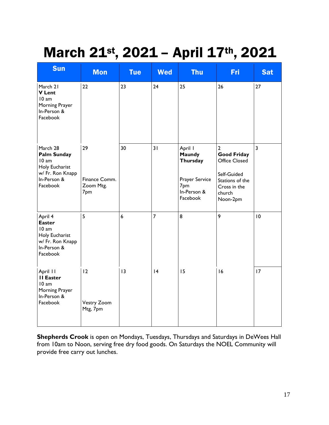## March 21st, 2021 - April 17th, 2021

| <b>Sun</b>                                                                                               | <b>Mon</b>                              | <b>Tue</b>       | <b>Wed</b>     | <b>Thu</b>                                                                        | Fri                                                                                                                           | <b>Sat</b>              |
|----------------------------------------------------------------------------------------------------------|-----------------------------------------|------------------|----------------|-----------------------------------------------------------------------------------|-------------------------------------------------------------------------------------------------------------------------------|-------------------------|
| March 21<br><b>V</b> Lent<br>10 am<br>Morning Prayer<br>In-Person &<br>Facebook                          | 22                                      | 23               | 24             | 25                                                                                | 26                                                                                                                            | 27                      |
| March 28<br><b>Palm Sunday</b><br>10 am<br>Holy Eucharist<br>w/ Fr. Ron Knapp<br>In-Person &<br>Facebook | 29<br>Finance Comm.<br>Zoom Mtg.<br>7pm | 30               | 31             | April I<br>Maundy<br>Thursday<br>Prayer Service<br>7pm<br>In-Person &<br>Facebook | $\overline{2}$<br><b>Good Friday</b><br>Office Closed<br>Self-Guided<br>Stations of the<br>Cross in the<br>church<br>Noon-2pm | $\overline{\mathbf{3}}$ |
| April 4<br><b>Easter</b><br>10 am<br>Holy Eucharist<br>w/ Fr. Ron Knapp<br>In-Person &<br>Facebook       | 5                                       | $\boldsymbol{6}$ | $\overline{7}$ | 8                                                                                 | 9                                                                                                                             | 10                      |
| April 11<br><b>II Easter</b><br>10 am<br>Morning Prayer<br>In-Person &<br>Facebook                       | 12<br>Vestry Zoom<br>Mtg, 7pm           | 13               | 4              | 15                                                                                | 16                                                                                                                            | 17                      |

**Shepherds Crook** is open on Mondays, Tuesdays, Thursdays and Saturdays in DeWees Hall from 10am to Noon, serving free dry food goods. On Saturdays the NOEL Community will provide free carry out lunches.